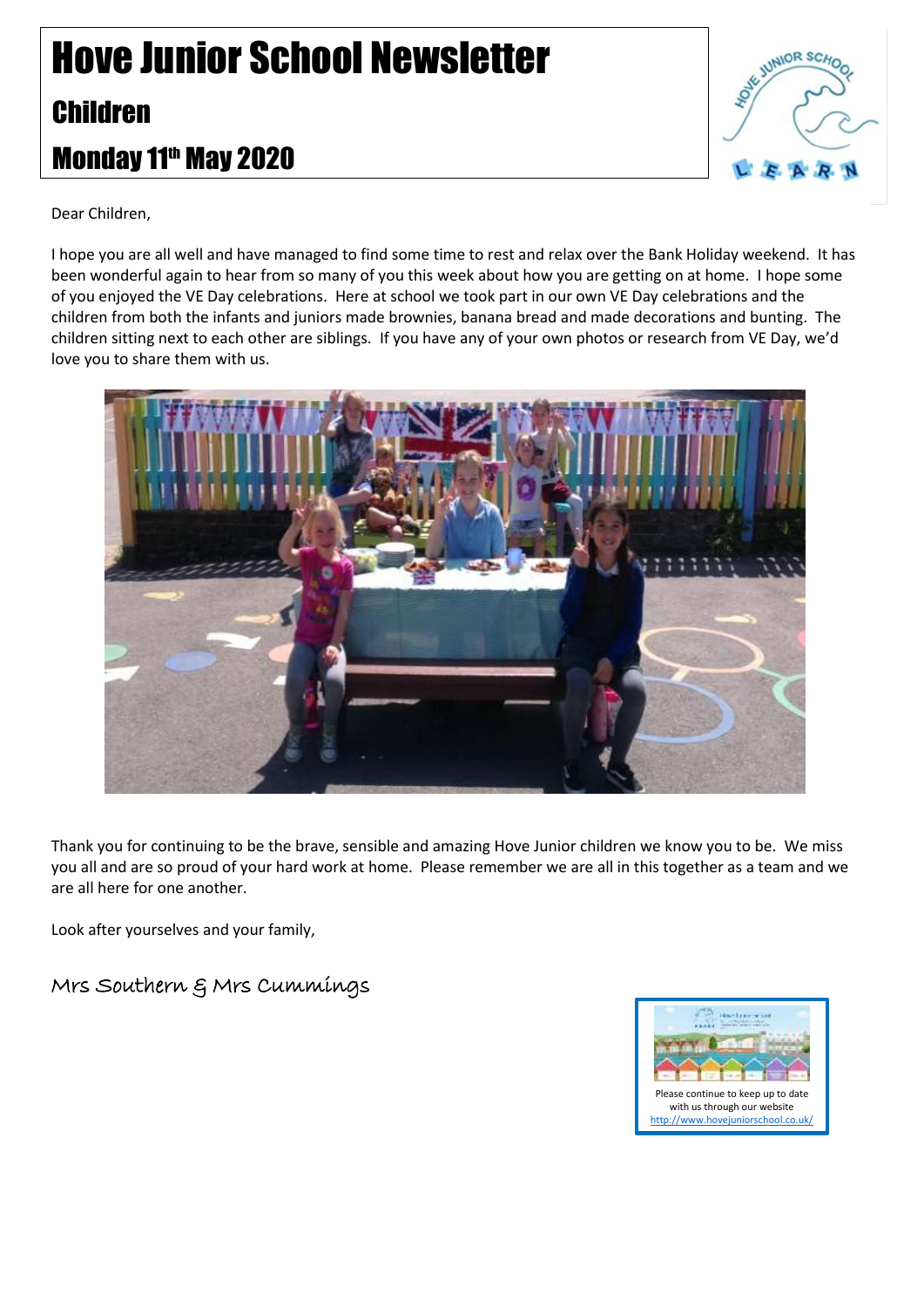## Hove Junior School Newsletter Children Monday 11th May 2020



Dear Children,

I hope you are all well and have managed to find some time to rest and relax over the Bank Holiday weekend. It has been wonderful again to hear from so many of you this week about how you are getting on at home. I hope some of you enjoyed the VE Day celebrations. Here at school we took part in our own VE Day celebrations and the children from both the infants and juniors made brownies, banana bread and made decorations and bunting. The children sitting next to each other are siblings. If you have any of your own photos or research from VE Day, we'd love you to share them with us.



Thank you for continuing to be the brave, sensible and amazing Hove Junior children we know you to be. We miss you all and are so proud of your hard work at home. Please remember we are all in this together as a team and we are all here for one another.

Look after yourselves and your family,

Mrs Southern & Mrs Cummings

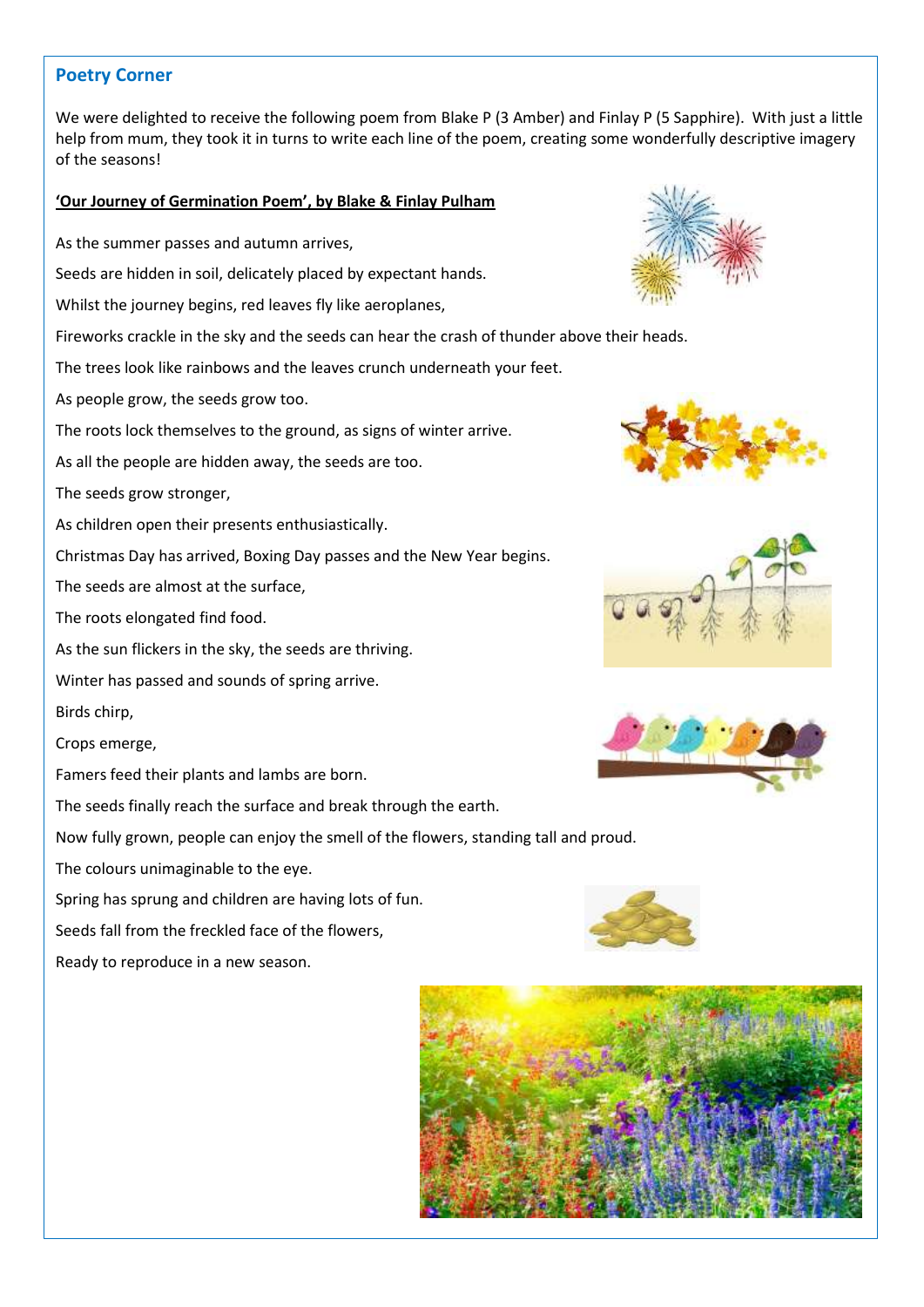## **Poetry Corner**

We were delighted to receive the following poem from Blake P (3 Amber) and Finlay P (5 Sapphire). With just a little help from mum, they took it in turns to write each line of the poem, creating some wonderfully descriptive imagery of the seasons!

## **'Our Journey of Germination Poem', by Blake & Finlay Pulham**

- As the summer passes and autumn arrives,
- Seeds are hidden in soil, delicately placed by expectant hands.
- Whilst the journey begins, red leaves fly like aeroplanes,
- Fireworks crackle in the sky and the seeds can hear the crash of thunder above their heads.
- The trees look like rainbows and the leaves crunch underneath your feet.
- As people grow, the seeds grow too.
- The roots lock themselves to the ground, as signs of winter arrive.
- As all the people are hidden away, the seeds are too.
- The seeds grow stronger,
- As children open their presents enthusiastically.
- Christmas Day has arrived, Boxing Day passes and the New Year begins.
- The seeds are almost at the surface,
- The roots elongated find food.
- As the sun flickers in the sky, the seeds are thriving.
- Winter has passed and sounds of spring arrive.
- Birds chirp,
- Crops emerge,
- Famers feed their plants and lambs are born.
- The seeds finally reach the surface and break through the earth.
- Now fully grown, people can enjoy the smell of the flowers, standing tall and proud.
- The colours unimaginable to the eye.
- Spring has sprung and children are having lots of fun.
- Seeds fall from the freckled face of the flowers,
- Ready to reproduce in a new season.











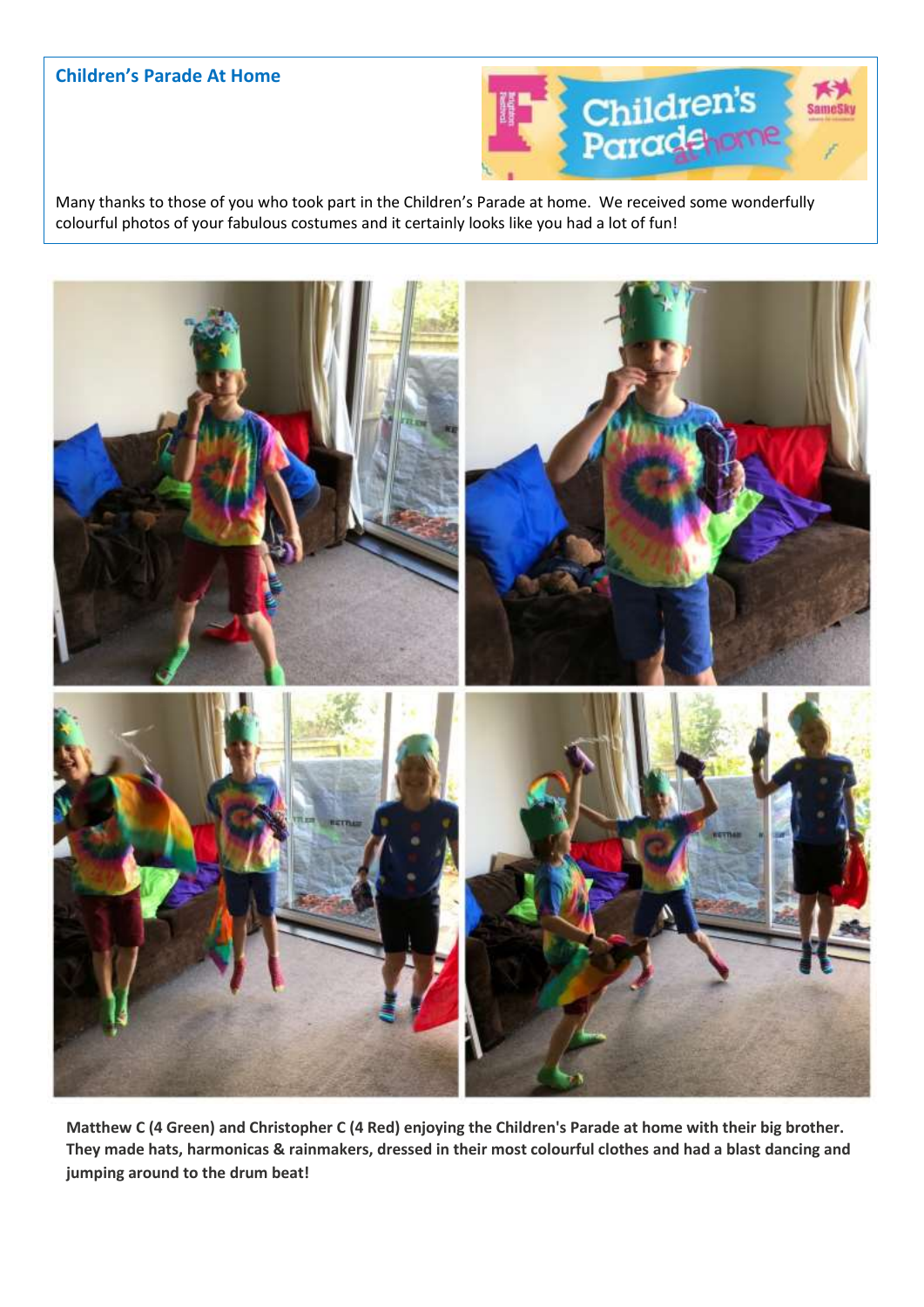## **Children's Parade At Home**



Many thanks to those of you who took part in the Children's Parade at home. We received some wonderfully colourful photos of your fabulous costumes and it certainly looks like you had a lot of fun!



**Matthew C (4 Green) and Christopher C (4 Red) enjoying the Children's Parade at home with their big brother. They made hats, harmonicas & rainmakers, dressed in their most colourful clothes and had a blast dancing and jumping around to the drum beat!**